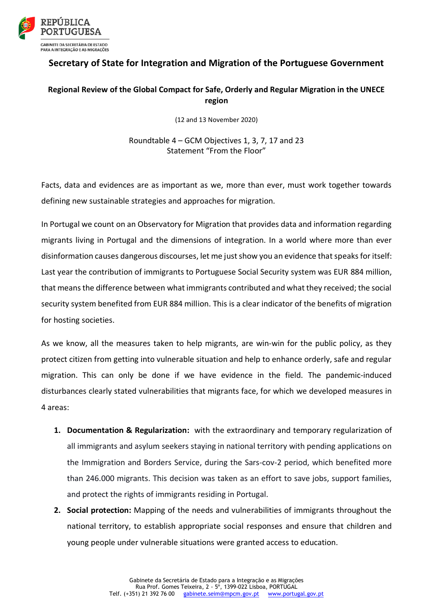

## **Secretary of State for Integration and Migration of the Portuguese Government**

## **Regional Review of the Global Compact for Safe, Orderly and Regular Migration in the UNECE region**

(12 and 13 November 2020)

Roundtable 4 – GCM Objectives 1, 3, 7, 17 and 23 Statement "From the Floor"

Facts, data and evidences are as important as we, more than ever, must work together towards defining new sustainable strategies and approaches for migration.

In Portugal we count on an Observatory for Migration that provides data and information regarding migrants living in Portugal and the dimensions of integration. In a world where more than ever disinformation causes dangerous discourses, let me just show you an evidence that speaks for itself: Last year the contribution of immigrants to Portuguese Social Security system was EUR 884 million, that means the difference between what immigrants contributed and what they received; the social security system benefited from EUR 884 million. This is a clear indicator of the benefits of migration for hosting societies.

As we know, all the measures taken to help migrants, are win-win for the public policy, as they protect citizen from getting into vulnerable situation and help to enhance orderly, safe and regular migration. This can only be done if we have evidence in the field. The pandemic-induced disturbances clearly stated vulnerabilities that migrants face, for which we developed measures in 4 areas:

- **1. Documentation & Regularization:** with the extraordinary and temporary regularization of all immigrants and asylum seekers staying in national territory with pending applications on the Immigration and Borders Service, during the Sars-cov-2 period, which benefited more than 246.000 migrants. This decision was taken as an effort to save jobs, support families, and protect the rights of immigrants residing in Portugal.
- **2. Social protection:** Mapping of the needs and vulnerabilities of immigrants throughout the national territory, to establish appropriate social responses and ensure that children and young people under vulnerable situations were granted access to education.